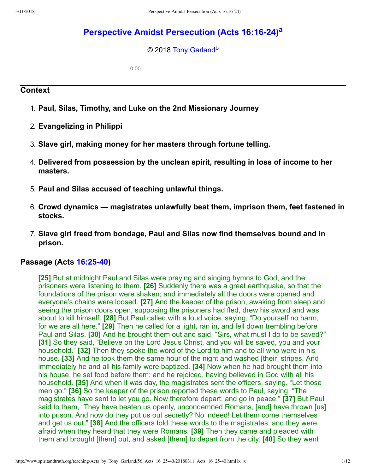# **[Perspective Amidst Persecution \(Acts 16:1624\)](http://www.spiritandtruth.org/teaching/Acts_by_Tony_Garland/56_Acts_16_25-40/index.htm)[a](#page-11-0)**

#### <span id="page-0-2"></span><span id="page-0-1"></span>© 2018 [Tony Garland](http://www.spiritandtruth.org/id/tg.htm)<sup>[b](#page-11-1)</sup>

0:00

### **Context**

- 1. **Paul, Silas, Timothy, and Luke on the 2nd Missionary Journey**
- 2. **Evangelizing in Philippi**
- 3. **Slave girl, making money for her masters through fortune telling.**
- 4. **Delivered from possession by the unclean spirit, resulting in loss of income to her masters.**
- 5. **Paul and Silas accused of teaching unlawful things.**
- 6. **Crowd dynamics magistrates unlawfully beat them, imprison them, feet fastened in stocks.**
- 7. **Slave girl freed from bondage, Paul and Silas now find themselves bound and in prison.**

## **Passage (Acts [16:2540\)](http://www.spiritandtruth.org/bibles/nasb/b44c016.htm#Acts_C16V25)**

<span id="page-0-0"></span>**[25]** But at midnight Paul and Silas were praying and singing hymns to God, and the prisoners were listening to them. **[26]** Suddenly there was a great earthquake, so that the foundations of the prison were shaken; and immediately all the doors were opened and everyone's chains were loosed. **[27]** And the keeper of the prison, awaking from sleep and seeing the prison doors open, supposing the prisoners had fled, drew his sword and was about to kill himself. **[28]** But Paul called with a loud voice, saying, "Do yourself no harm, for we are all here." **[29]** Then he called for a light, ran in, and fell down trembling before Paul and Silas. **[30]** And he brought them out and said, "Sirs, what must I do to be saved?" **[31]** So they said, "Believe on the Lord Jesus Christ, and you will be saved, you and your household." **[32]** Then they spoke the word of the Lord to him and to all who were in his house. **[33]** And he took them the same hour of the night and washed [their] stripes. And immediately he and all his family were baptized. **[34]** Now when he had brought them into his house, he set food before them; and he rejoiced, having believed in God with all his household. **[35]** And when it was day, the magistrates sent the officers, saying, "Let those men go." **[36]** So the keeper of the prison reported these words to Paul, saying, "The magistrates have sent to let you go. Now therefore depart, and go in peace." **[37]** But Paul said to them, "They have beaten us openly, uncondemned Romans, [and] have thrown [us] into prison. And now do they put us out secretly? No indeed! Let them come themselves and get us out." **[38]** And the officers told these words to the magistrates, and they were afraid when they heard that they were Romans. **[39]** Then they came and pleaded with them and brought [them] out, and asked [them] to depart from the city. **[40]** So they went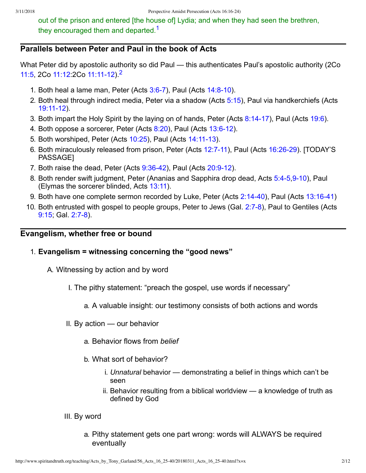<span id="page-1-0"></span>out of the prison and entered [the house of] Lydia; and when they had seen the brethren, they encouraged them and departed.<sup>[1](#page-11-2)</sup>

### **Parallels between Peter and Paul in the book of Acts**

What Peter did by apostolic authority so did Paul — this authenticates Paul's apostolic authority (2Co [11:5,](http://www.spiritandtruth.org/bibles/nasb/b47c011.htm#2Cor._C11V5) 2Co [11:12](http://www.spiritandtruth.org/bibles/nasb/b47c011.htm#2Cor._C11V12):[2](#page-11-3)Co 11:11-12)<sup>2</sup>

- <span id="page-1-1"></span>1. Both heal a lame man, Peter (Acts  $3:6-7$ ), Paul (Acts  $14:8-10$ ).
- 2. Both heal through indirect media, Peter via a shadow (Acts [5:15](http://www.spiritandtruth.org/bibles/nasb/b44c005.htm#Acts_C5V15)), Paul via handkerchiefs (Acts 19:11-12).
- 3. Both impart the Holy Spirit by the laying on of hands, Peter (Acts  $8:14-17$ ), Paul (Acts  $19:6$ ).
- 4. Both oppose a sorcerer, Peter (Acts [8:20](http://www.spiritandtruth.org/bibles/nasb/b44c008.htm#Acts_C8V20)), Paul (Acts 13:6-12).
- 5. Both worshiped, Peter (Acts [10:25](http://www.spiritandtruth.org/bibles/nasb/b44c010.htm#Acts_C10V25)), Paul (Acts 14:11-13).
- 6. Both miraculously released from prison, Peter (Acts 12:7-11), Paul (Acts 16:26-29). [TODAY'S PASSAGE]
- 7. Both raise the dead, Peter (Acts  $9:36-42$ ), Paul (Acts  $20:9-12$ ).
- 8. Both render swift judgment, Peter (Ananias and Sapphira drop dead, Acts 5:4-5,9-10), Paul (Elymas the sorcerer blinded, Acts [13:11](http://www.spiritandtruth.org/bibles/nasb/b44c013.htm#Acts_C13V11)).
- 9. Both have one complete sermon recorded by Luke, Peter (Acts 2:14-40), Paul (Acts 13:16-41)
- 10. Both entrusted with gospel to people groups, Peter to Jews (Gal. 2:7-8), Paul to Gentiles (Acts  $9:15$ , Gal.  $2:7-8$ ).

#### **Evangelism, whether free or bound**

- 1. **Evangelism = witnessing concerning the "good news"**
	- A. Witnessing by action and by word
		- I. The pithy statement: "preach the gospel, use words if necessary"
			- a. A valuable insight: our testimony consists of both actions and words
		- II. By action our behavior
			- a. Behavior flows from *belief*
			- b. What sort of behavior?
				- i. *Unnatural* behavior demonstrating a belief in things which can't be seen
				- ii. Behavior resulting from a biblical worldview a knowledge of truth as defined by God
		- III. By word
			- a. Pithy statement gets one part wrong: words will ALWAYS be required eventually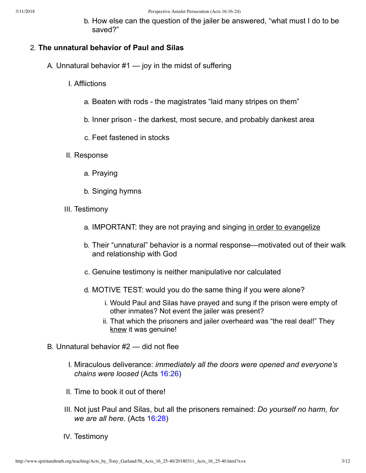b. How else can the question of the jailer be answered, "what must I do to be saved?"

#### 2. **The unnatural behavior of Paul and Silas**

- A. Unnatural behavior  $#1$  joy in the midst of suffering
	- I. Afflictions
		- a. Beaten with rods the magistrates "laid many stripes on them"
		- b. Inner prison the darkest, most secure, and probably dankest area
		- c. Feet fastened in stocks
	- II. Response
		- a. Praying
		- b. Singing hymns
	- III. Testimony
		- a. IMPORTANT: they are not praying and singing in order to evangelize
		- b. Their "unnatural" behavior is a normal response—motivated out of their walk and relationship with God
		- c. Genuine testimony is neither manipulative nor calculated
		- d. MOTIVE TEST: would you do the same thing if you were alone?
			- i. Would Paul and Silas have prayed and sung if the prison were empty of other inmates? Not event the jailer was present?
			- ii. That which the prisoners and jailer overheard was "the real deal!" They knew it was genuine!
- B. Unnatural behavior #2 did not flee
	- I. Miraculous deliverance: *immediately all the doors were opened and everyone's chains were loosed* (Acts [16:26](http://www.spiritandtruth.org/bibles/nasb/b44c016.htm#Acts_C16V26))
	- II. Time to book it out of there!
	- III. Not just Paul and Silas, but all the prisoners remained: *Do yourself no harm, for we are all here.* (Acts [16:28](http://www.spiritandtruth.org/bibles/nasb/b44c016.htm#Acts_C16V28))
	- IV. Testimony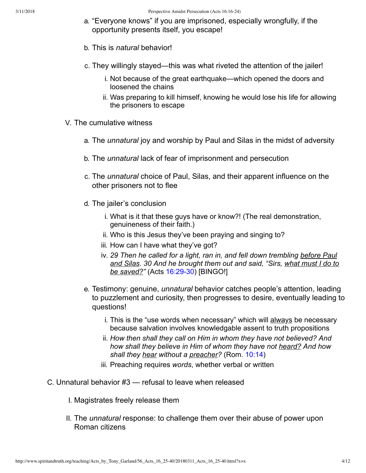- a. "Everyone knows" if you are imprisoned, especially wrongfully, if the opportunity presents itself, you escape!
- b. This is *natural* behavior!
- c. They willingly stayed—this was what riveted the attention of the jailer!
	- i. Not because of the great earthquake—which opened the doors and loosened the chains
	- ii. Was preparing to kill himself, knowing he would lose his life for allowing the prisoners to escape
- V. The cumulative witness
	- a. The *unnatural* joy and worship by Paul and Silas in the midst of adversity
	- b. The *unnatural* lack of fear of imprisonment and persecution
	- c. The *unnatural* choice of Paul, Silas, and their apparent influence on the other prisoners not to flee
	- d. The jailer's conclusion
		- i. What is it that these guys have or know?! (The real demonstration, genuineness of their faith.)
		- ii. Who is this Jesus they've been praying and singing to?
		- iii. How can I have what they've got?
		- iv. *29 Then he called for a light, ran in, and fell down trembling before Paul and Silas. 30 And he brought them out and said, "Sirs, what must I do to be saved?"* (Acts 16:29-30) [BINGO!]
	- e. Testimony: genuine, *unnatural* behavior catches people's attention, leading to puzzlement and curiosity, then progresses to desire, eventually leading to questions!
		- i. This is the "use words when necessary" which will always be necessary because salvation involves knowledgable assent to truth propositions
		- ii. *How then shall they call on Him in whom they have not believed? And how shall they believe in Him of whom they have not heard? And how shall they hear without a preacher?* (Rom. [10:14](http://www.spiritandtruth.org/bibles/nasb/b45c010.htm#Rom._C10V14))
		- iii. Preaching requires *words*, whether verbal or written
- C. Unnatural behavior #3 refusal to leave when released
	- I. Magistrates freely release them
	- II. The *unnatural* response: to challenge them over their abuse of power upon Roman citizens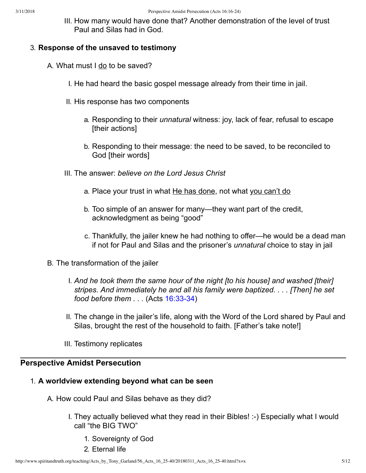III. How many would have done that? Another demonstration of the level of trust Paul and Silas had in God.

### 3. **Response of the unsaved to testimony**

- A. What must  $I$  do to be saved?
	- I. He had heard the basic gospel message already from their time in jail.
	- II. His response has two components
		- a. Responding to their *unnatural* witness: joy, lack of fear, refusal to escape [their actions]
		- b. Responding to their message: the need to be saved, to be reconciled to God [their words]
	- III. The answer: *believe on the Lord Jesus Christ*
		- a. Place your trust in what He has done, not what you can't do
		- b. Too simple of an answer for many—they want part of the credit, acknowledgment as being "good"
		- c. Thankfully, the jailer knew he had nothing to offer—he would be a dead man if not for Paul and Silas and the prisoner's *unnatural* choice to stay in jail
- B. The transformation of the jailer
	- I. *And he took them the same hour of the night [to his house] and washed [their] stripes. And immediately he and all his family were baptized. . . . [Then] he set food before them . . . (Acts 16:33-34)*
	- II. The change in the jailer's life, along with the Word of the Lord shared by Paul and Silas, brought the rest of the household to faith. [Father's take note!]
	- III. Testimony replicates

## **Perspective Amidst Persecution**

## 1. **A worldview extending beyond what can be seen**

- A. How could Paul and Silas behave as they did?
	- I. They actually believed what they read in their Bibles! :-) Especially what I would call "the BIG TWO"
		- 1. Sovereignty of God
		- 2. Eternal life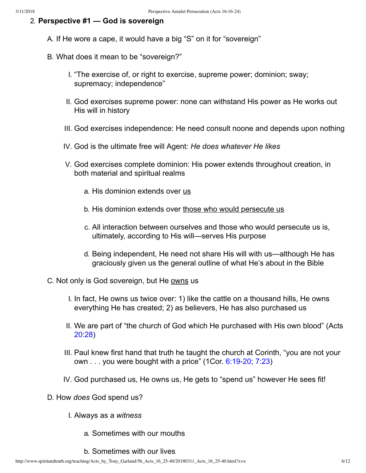### 2. **Perspective #1 — God is sovereign**

- A. If He wore a cape, it would have a big "S" on it for "sovereign"
- B. What does it mean to be "sovereign?"
	- I. "The exercise of, or right to exercise, supreme power; dominion; sway; supremacy; independence"
	- II. God exercises supreme power: none can withstand His power as He works out His will in history
	- III. God exercises independence: He need consult noone and depends upon nothing
	- IV. God is the ultimate free will Agent: *He does whatever He likes*
	- V. God exercises complete dominion: His power extends throughout creation, in both material and spiritual realms
		- a. His dominion extends over us
		- b. His dominion extends over those who would persecute us
		- c. All interaction between ourselves and those who would persecute us is, ultimately, according to His will—serves His purpose
		- d. Being independent, He need not share His will with us—although He has graciously given us the general outline of what He's about in the Bible
- C. Not only is God sovereign, but He owns us
	- I. In fact, He owns us twice over: 1) like the cattle on a thousand hills, He owns everything He has created; 2) as believers, He has also purchased us
	- II. We are part of "the church of God which He purchased with His own blood" (Acts [20:28\)](http://www.spiritandtruth.org/bibles/nasb/b44c020.htm#Acts_C20V28)
	- III. Paul knew first hand that truth he taught the church at Corinth, "you are not your own  $\ldots$  you were bought with a price" (1Cor. 6:19-20; [7:23\)](http://www.spiritandtruth.org/bibles/nasb/b46c007.htm#1Cor._C7V23)
	- IV. God purchased us, He owns us, He gets to "spend us" however He sees fit!
- D. How *does* God spend us?
	- I. Always as a *witness*
		- a. Sometimes with our mouths
		- b. Sometimes with our lives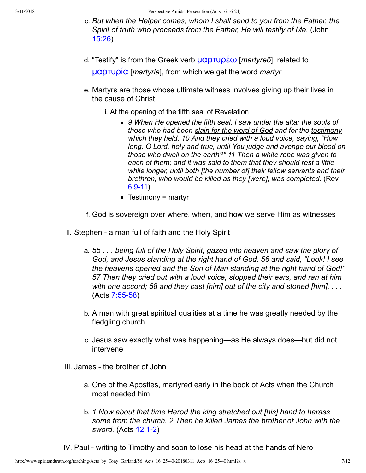- c. *But when the Helper comes, whom I shall send to you from the Father, the Spirit of truth who proceeds from the Father, He will testify of Me.* (John [15:26\)](http://www.spiritandtruth.org/bibles/nasb/b43c015.htm#John_C15V26)
- d. "Testify" is from the Greek verb **μαρτυρέω** [*martyreō*], related to [μαρ˱˲ρία](http://www.spiritandtruth.org/fontsu/index.htm) [*martyria*], from which we get the word *martyr*
- e. Martyrs are those whose ultimate witness involves giving up their lives in the cause of Christ
	- i. At the opening of the fifth seal of Revelation
		- *9 When He opened the fifth seal, I saw under the altar the souls of those who had been slain for the word of God and for the testimony which they held. 10 And they cried with a loud voice, saying, "How long, O Lord, holy and true, until You judge and avenge our blood on those who dwell on the earth?" 11 Then a white robe was given to each of them; and it was said to them that they should rest a little while longer, until both [the number of] their fellow servants and their brethren, who would be killed as they [were], was completed.* (Rev.  $6:9-11)$
		- $\blacksquare$  Testimony = martyr
- f. God is sovereign over where, when, and how we serve Him as witnesses
- II. Stephen a man full of faith and the Holy Spirit
	- a. *55 . . . being full of the Holy Spirit, gazed into heaven and saw the glory of God, and Jesus standing at the right hand of God, 56 and said, "Look! I see the heavens opened and the Son of Man standing at the right hand of God!" 57 Then they cried out with a loud voice, stopped their ears, and ran at him with one accord; 58 and they cast [him] out of the city and stoned [him]. . . .*  $(Acts 7:55-58)$
	- b. A man with great spiritual qualities at a time he was greatly needed by the fledgling church
	- c. Jesus saw exactly what was happening—as He always does—but did not intervene
- III. James the brother of John
	- a. One of the Apostles, martyred early in the book of Acts when the Church most needed him
	- b. *1 Now about that time Herod the king stretched out [his] hand to harass some from the church. 2 Then he killed James the brother of John with the sword.* (Acts 12:1-2)
- IV. Paul writing to Timothy and soon to lose his head at the hands of Nero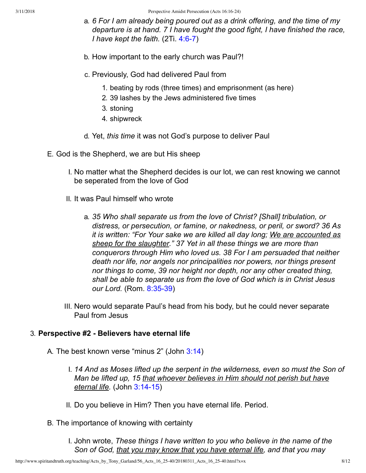3/11/2018 Perspective Amidst Persecution (Acts 16:16-24)

- a. *6 For I am already being poured out as a drink offering, and the time of my departure is at hand. 7 I have fought the good fight, I have finished the race, I have kept the faith.* (2Ti. 4:6-7)
- b. How important to the early church was Paul?!
- c. Previously, God had delivered Paul from
	- 1. beating by rods (three times) and emprisonment (as here)
	- 2. 39 lashes by the Jews administered five times
	- 3. stoning
	- 4. shipwreck
- d. Yet, *this time* it was not God's purpose to deliver Paul
- E. God is the Shepherd, we are but His sheep
	- I. No matter what the Shepherd decides is our lot, we can rest knowing we cannot be seperated from the love of God
	- II. It was Paul himself who wrote
		- a. *35 Who shall separate us from the love of Christ? [Shall] tribulation, or distress, or persecution, or famine, or nakedness, or peril, or sword? 36 As it is written: "For Your sake we are killed all day long; We are accounted as sheep for the slaughter." 37 Yet in all these things we are more than conquerors through Him who loved us. 38 For I am persuaded that neither death nor life, nor angels nor principalities nor powers, nor things present nor things to come, 39 nor height nor depth, nor any other created thing, shall be able to separate us from the love of God which is in Christ Jesus our Lord.* (Rom. 8:35-39)
	- III. Nero would separate Paul's head from his body, but he could never separate Paul from Jesus

### 3. **Perspective #2 Believers have eternal life**

A. The best known verse "minus 2" (John [3:14\)](http://www.spiritandtruth.org/bibles/nasb/b43c003.htm#John_C3V14)

- I. *14 And as Moses lifted up the serpent in the wilderness, even so must the Son of Man be lifted up, 15 that whoever believes in Him should not perish but have eternal life.* (John 3:14-15)
- II. Do you believe in Him? Then you have eternal life. Period.
- B. The importance of knowing with certainty

I. John wrote, *These things I have written to you who believe in the name of the Son of God, that you may know that you have eternal life, and that you may*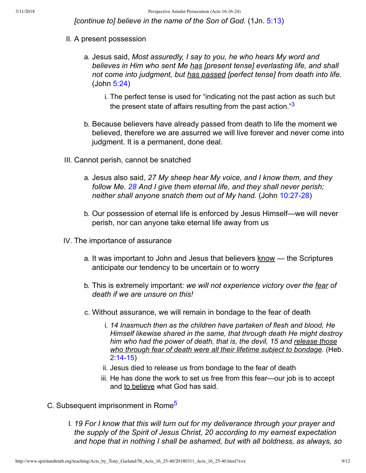<span id="page-8-0"></span>*[continue to] believe in the name of the Son of God.* (1Jn. [5:13\)](http://www.spiritandtruth.org/bibles/nasb/b62c005.htm#1Jn._C5V13)

- II. A present possession
	- a. Jesus said, *Most assuredly, I say to you, he who hears My word and believes in Him who sent Me has [present tense] everlasting life, and shall not come into judgment, but has passed [perfect tense] from death into life.* (John [5:24](http://www.spiritandtruth.org/bibles/nasb/b43c005.htm#John_C5V24))
		- i. The perfect tense is used for "indicating not the past action as such but the present state of affairs resulting from the past action."<sup>[3](#page-11-4)</sup>
	- b. Because believers have already passed from death to life the moment we believed, therefore we are assurred we will live forever and never come into judgment. It is a permanent, done deal.
- III. Cannot perish, cannot be snatched
	- a. Jesus also said, *27 My sheep hear My voice, and I know them, and they follow Me. [28](http://www.spiritandtruth.org/bibles/nasb/b40c028.htm#Mat._C28V1) And I give them eternal life, and they shall never perish; neither shall anyone snatch them out of My hand.* (John 10:27-28)
	- b. Our possession of eternal life is enforced by Jesus Himself—we will never perish, nor can anyone take eternal life away from us
- IV. The importance of assurance
	- a. It was important to John and Jesus that believers know the Scriptures anticipate our tendency to be uncertain or to worry
	- b. This is extremely important: *we will not experience victory over the fear of death if we are unsure on this!*
	- c. Without assurance, we will remain in bondage to the fear of death
		- i. *14 Inasmuch then as the children have partaken of flesh and blood, He Himself likewise shared in the same, that through death He might destroy him who had the power of death, that is, the devil, 15 and release those who through fear of death were all their lifetime subject to bondage.* (Heb.  $2:14-15$
		- ii. Jesus died to release us from bondage to the fear of death
		- iii. He has done the work to set us free from this fear—our job is to accept and to believe what God has said.
- <span id="page-8-1"></span>C. Subsequent imprisonment in Rome[5](#page-11-5)
	- I. *19 For I know that this will turn out for my deliverance through your prayer and the supply of the Spirit of Jesus Christ, 20 according to my earnest expectation and hope that in nothing I shall be ashamed, but with all boldness, as always, so*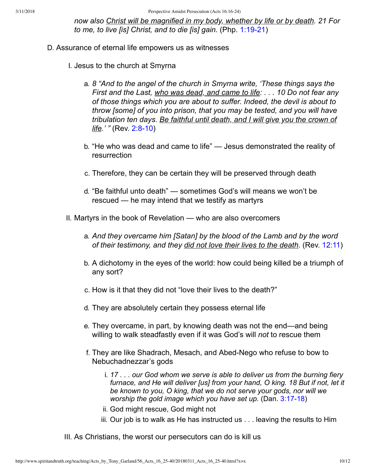*now also Christ will be magnified in my body, whether by life or by death. 21 For* to me, to live *[is] Christ, and to die [is] gain.* (Php. 1:19-21)

- D. Assurance of eternal life empowers us as witnesses
	- I. Jesus to the church at Smyrna
		- a. *8 "And to the angel of the church in Smyrna write, 'These things says the First and the Last, who was dead, and came to life: . . . 10 Do not fear any of those things which you are about to suffer. Indeed, the devil is about to throw [some] of you into prison, that you may be tested, and you will have tribulation ten days. Be faithful until death, and I will give you the crown of life.' "* (Rev. 2:8-10)
		- b. "He who was dead and came to life" Jesus demonstrated the reality of resurrection
		- c. Therefore, they can be certain they will be preserved through death
		- d. "Be faithful unto death" sometimes God's will means we won't be rescued — he may intend that we testify as martyrs
	- II. Martyrs in the book of Revelation who are also overcomers
		- a. *And they overcame him [Satan] by the blood of the Lamb and by the word of their testimony, and they did not love their lives to the death*. (Rev. [12:11](http://www.spiritandtruth.org/bibles/nasb/b66c012.htm#Rev._C12V11))
		- b. A dichotomy in the eyes of the world: how could being killed be a triumph of any sort?
		- c. How is it that they did not "love their lives to the death?"
		- d. They are absolutely certain they possess eternal life
		- e. They overcame, in part, by knowing death was not the end—and being willing to walk steadfastly even if it was God's will *not* to rescue them
		- f. They are like Shadrach, Mesach, and Abed-Nego who refuse to bow to Nebuchadnezzar's gods
			- i. *17 . . . our God whom we serve is able to deliver us from the burning fiery furnace, and He will deliver [us] from your hand, O king. 18 But if not, let it be known to you, O king, that we do not serve your gods, nor will we worship the gold image which you have set up.* (Dan. 3:17-18)
			- ii. God might rescue, God might not
			- iii. Our job is to walk as He has instructed us . . . leaving the results to Him

III. As Christians, the worst our persecutors can do is kill us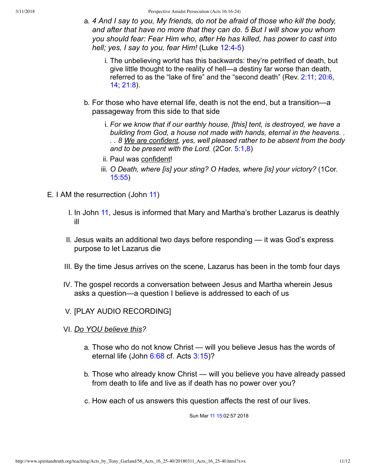3/11/2018 Perspective Amidst Persecution (Acts 16:16-24)

- a. *4 And I say to you, My friends, do not be afraid of those who kill the body, and after that have no more that they can do. 5 But I will show you whom you should fear: Fear Him who, after He has killed, has power to cast into hell; yes, I say to you, fear Him!* (Luke 12:4-5)
	- i. The unbelieving world has this backwards: they're petrified of death, but give little thought to the reality of hell—a destiny far worse than death, referred to as the "lake of fire" and the "second death" (Rev. [2:11](http://www.spiritandtruth.org/bibles/nasb/b66c002.htm#Rev._C2V11); [20:6](http://www.spiritandtruth.org/bibles/nasb/b66c020.htm#Rev._C20V6), [14;](http://www.spiritandtruth.org/bibles/nasb/b66c020.htm#Rev._C20V14) [21:8\)](http://www.spiritandtruth.org/bibles/nasb/b66c021.htm#Rev._C21V8).
- b. For those who have eternal life, death is not the end, but a transition—a passageway from this side to that side
	- i. *For we know that if our earthly house, [this] tent, is destroyed, we have a building from God, a house not made with hands, eternal in the heavens. . . . 8 We are confident, yes, well pleased rather to be absent from the body and to be present with the Lord.* (2Cor. [5:1](http://www.spiritandtruth.org/bibles/nasb/b47c005.htm#2Cor._C5V1)[,8](http://www.spiritandtruth.org/bibles/nasb/b47c005.htm#2Cor._C5V8))
	- ii. Paul was confident!
	- iii. *O Death, where [is] your sting? O Hades, where [is] your victory?* (1Cor. [15:55](http://www.spiritandtruth.org/bibles/nasb/b46c015.htm#1Cor._C15V55))
- E. I AM the resurrection (John [11\)](http://www.spiritandtruth.org/bibles/nasb/b43c011.htm#John_C11V1)
	- I. In John [11](http://www.spiritandtruth.org/bibles/nasb/b43c011.htm#John_C11V1), Jesus is informed that Mary and Martha's brother Lazarus is deathly ill
	- II. Jesus waits an additional two days before responding it was God's express purpose to let Lazarus die
	- III. By the time Jesus arrives on the scene, Lazarus has been in the tomb four days
	- IV. The gospel records a conversation between Jesus and Martha wherein Jesus asks a question—a question I believe is addressed to each of us
	- V. [PLAY AUDIO RECORDING]
	- VI. *Do YOU believe this?*
		- a. Those who do not know Christ will you believe Jesus has the words of eternal life (John [6:68](http://www.spiritandtruth.org/bibles/nasb/b43c006.htm#John_C6V68) cf. Acts [3:15](http://www.spiritandtruth.org/bibles/nasb/b44c003.htm#Acts_C3V15))?
		- b. Those who already know Christ will you believe you have already passed from death to life and live as if death has no power over you?
		- c. How each of us answers this question affects the rest of our lives.

Sun Mar [11](http://www.spiritandtruth.org/bibles/nasb/b41c011.htm#Mark_C11V1) [15:](http://www.spiritandtruth.org/bibles/nasb/b41c015.htm#Mark_C15V1)02:57 2018